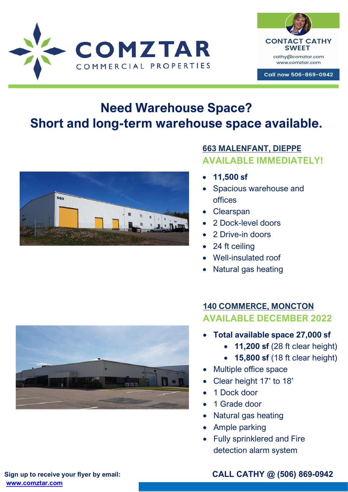



Call now 506-869-0942

# **Need Warehouse Space? Short and long-term warehouse space available.**



## **663 MALENFANT, DIEPPE AVAILABLE IMMEDIATELY!**

- **11,500 sf**
- Spacious warehouse and offices
- **Clearspan**
- 2 Dock-level doors
- 2 Drive-in doors
- 24 ft ceiling
- Well-insulated roof
- Natural gas heating

## **140 COMMERCE, MONCTON AVAILABLE DECEMBER 2022**

- **Total available space 27,000 sf** 
	- **11,200 sf** (28 ft clear height)
	- **15,800 sf** (18 ft clear height)
- Multiple office space
- Clear height 17' to 18'
- 1 Dock door
- 1 Grade door
- Natural gas heating
- Ample parking
- Fully sprinklered and Fire detection alarm system



**Sign up to receive your flyer by email: [www.comztar.com](http://www.comztar.com/)**

**CALL CATHY @ (506) 869-0942**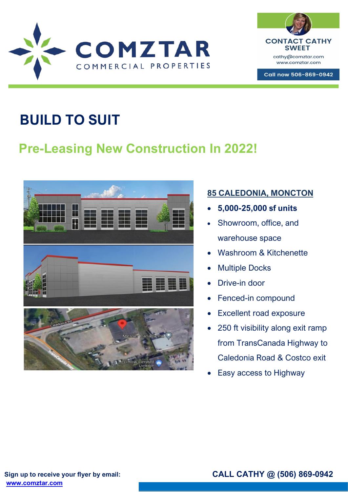



Call now 506-869-0942

# **BUILD TO SUIT**

# **Pre-Leasing New Construction In 2022!**



#### **85 CALEDONIA, MONCTON**

- **5,000-25,000 sf units**
- Showroom, office, and warehouse space
- Washroom & Kitchenette
- Multiple Docks
- Drive-in door
- Fenced-in compound
- Excellent road exposure
- 250 ft visibility along exit ramp from TransCanada Highway to Caledonia Road & Costco exit
- **Easy access to Highway**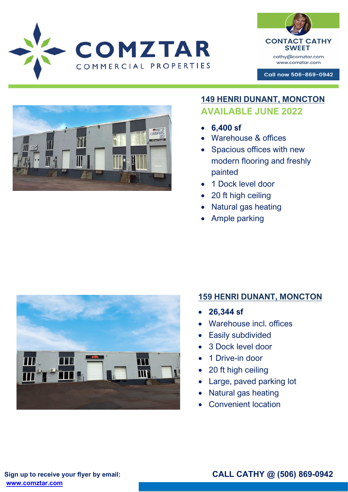**SWEET** cathy@comztar.com www.comztar.com

Call now 506-869-0942

**CONTACT CATHY** 



COMZTAR

COMMERCIAL PROPERTIES

#### **149 HENRI DUNANT, MONCTON AVAILABLE JUNE 2022**

- **6,400 sf**
- Warehouse & offices
- Spacious offices with new modern flooring and freshly painted
- 1 Dock level door
- 20 ft high ceiling
- Natural gas heating
- Ample parking



## **159 HENRI DUNANT, MONCTON**

- **26,344 sf**
- Warehouse incl. offices
- Easily subdivided
- 3 Dock level door
- 1 Drive-in door
- 20 ft high ceiling
- Large, paved parking lot
- Natural gas heating
- Convenient location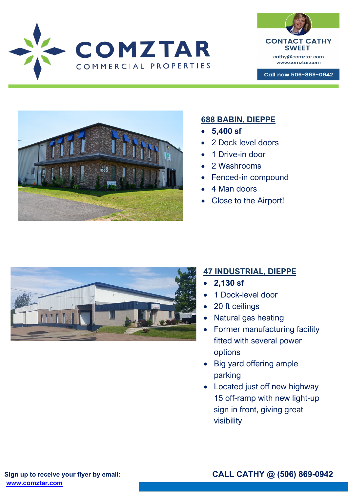COMZTAR COMMERCIAL PROPERTIES



Call now 506-869-0942



#### **688 BABIN, DIEPPE**

- **5,400 sf**
- 2 Dock level doors
- 1 Drive-in door
- 2 Washrooms
- Fenced-in compound
- 4 Man doors
- Close to the Airport!



#### **47 INDUSTRIAL, DIEPPE**

- **2,130 sf**
- 1 Dock-level door
- 20 ft ceilings
- Natural gas heating
- Former manufacturing facility fitted with several power options
- Big yard offering ample parking
- Located just off new highway 15 off-ramp with new light-up sign in front, giving great visibility